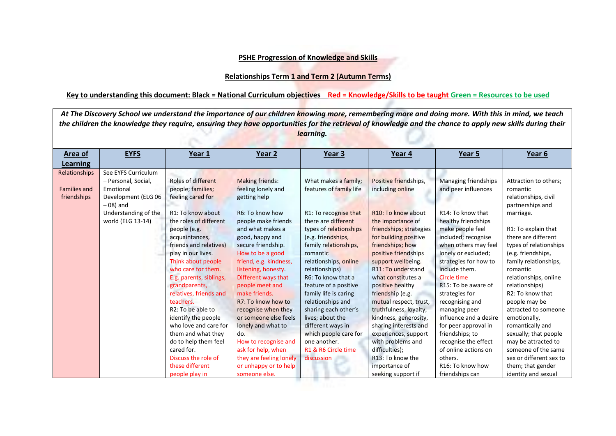## **PSHE Progression of Knowledge and Skills**

## **Relationships Term 1 and Term 2 (Autumn Terms)**

## **Key to understanding this document: Black = National Curriculum objectives Red = Knowledge/Skills to be taught Green = Resources to be used**

| At The Discovery School we understand the importance of our children knowing more, remembering more and doing more. With this in mind, we teach<br>the children the knowledge they require, ensuring they have opportunities for the retrieval of knowledge and the chance to apply new skills during their<br>learning. |                                                                                                                       |                                                                                                                                                                                                                                                                                                                                                                                                                                      |                                                                                                                                                                                                                                                                                                                                                                                                                                       |                                                                                                                                                                                                                                                                                                                                                                                                 |                                                                                                                                                                                                                                                                                                                                                                                                                                                             |                                                                                                                                                                                                                                                                                                                                                                                                                                         |                                                                                                                                                                                                                                                                                                                                                                                                                           |  |  |
|--------------------------------------------------------------------------------------------------------------------------------------------------------------------------------------------------------------------------------------------------------------------------------------------------------------------------|-----------------------------------------------------------------------------------------------------------------------|--------------------------------------------------------------------------------------------------------------------------------------------------------------------------------------------------------------------------------------------------------------------------------------------------------------------------------------------------------------------------------------------------------------------------------------|---------------------------------------------------------------------------------------------------------------------------------------------------------------------------------------------------------------------------------------------------------------------------------------------------------------------------------------------------------------------------------------------------------------------------------------|-------------------------------------------------------------------------------------------------------------------------------------------------------------------------------------------------------------------------------------------------------------------------------------------------------------------------------------------------------------------------------------------------|-------------------------------------------------------------------------------------------------------------------------------------------------------------------------------------------------------------------------------------------------------------------------------------------------------------------------------------------------------------------------------------------------------------------------------------------------------------|-----------------------------------------------------------------------------------------------------------------------------------------------------------------------------------------------------------------------------------------------------------------------------------------------------------------------------------------------------------------------------------------------------------------------------------------|---------------------------------------------------------------------------------------------------------------------------------------------------------------------------------------------------------------------------------------------------------------------------------------------------------------------------------------------------------------------------------------------------------------------------|--|--|
| Area of<br><b>Learning</b>                                                                                                                                                                                                                                                                                               | <b>EYFS</b>                                                                                                           | Year 1                                                                                                                                                                                                                                                                                                                                                                                                                               | Year <sub>2</sub>                                                                                                                                                                                                                                                                                                                                                                                                                     | Year 3                                                                                                                                                                                                                                                                                                                                                                                          | Year 4                                                                                                                                                                                                                                                                                                                                                                                                                                                      | Year 5                                                                                                                                                                                                                                                                                                                                                                                                                                  | Year 6                                                                                                                                                                                                                                                                                                                                                                                                                    |  |  |
| Relationships<br><b>Families and</b><br>friendships                                                                                                                                                                                                                                                                      | See EYFS Curriculum<br>- Personal, Social,<br>Emotional<br>Development (ELG 06<br>$-08$ ) and<br>Understanding of the | Roles of different<br>people; families;<br>feeling cared for<br>R1: To know about                                                                                                                                                                                                                                                                                                                                                    | <b>Making friends:</b><br>feeling lonely and<br>getting help<br>R6: To know how                                                                                                                                                                                                                                                                                                                                                       | What makes a family;<br>features of family life<br>R1: To recognise that                                                                                                                                                                                                                                                                                                                        | Positive friendships,<br>including online<br>R <sub>10</sub> : To know about                                                                                                                                                                                                                                                                                                                                                                                | Managing friendships<br>and peer influences<br>R14: To know that                                                                                                                                                                                                                                                                                                                                                                        | Attraction to others;<br>romantic<br>relationships, civil<br>partnerships and<br>marriage.                                                                                                                                                                                                                                                                                                                                |  |  |
|                                                                                                                                                                                                                                                                                                                          | world (ELG 13-14)                                                                                                     | the roles of different<br>people (e.g.<br>acquaintances,<br>friends and relatives)<br>play in our lives.<br>Think about people<br>who care for them.<br>E.g. parents, siblings,<br>grandparents,<br>relatives, friends and<br>teachers.<br>R2: To be able to<br>identify the people<br>who love and care for<br>them and what they<br>do to help them feel<br>cared for.<br>Discuss the role of<br>these different<br>people play in | people make friends<br>and what makes a<br>good, happy and<br>secure friendship.<br>How to be a good<br>friend, e.g. kindness,<br>listening, honesty<br>Different ways that<br>people meet and<br>make friends.<br>R7: To know how to<br>recognise when they<br>or someone else feels<br>lonely and what to<br>do.<br>How to recognise and<br>ask for help, when<br>they are feeling lonely<br>or unhappy or to help<br>someone else. | there are different<br>types of relationships<br>(e.g. friendships,<br>family relationships,<br>romantic<br>relationships, online<br>relationships)<br>R6: To know that a<br>feature of a positive<br>family life is caring<br>relationships and<br>sharing each other's<br>lives; about the<br>different ways in<br>which people care for<br>one another.<br>R1 & R6 Circle time<br>discussion | the importance of<br>friendships; strategies<br>for building positive<br>friendships; how<br>positive friendships<br>support wellbeing.<br>R11: To understand<br>what constitutes a<br>positive healthy<br>friendship (e.g.<br>mutual respect, trust,<br>truthfulness, loyalty,<br>kindness, generosity,<br>sharing interests and<br>experiences, support<br>with problems and<br>difficulties);<br>R13: To know the<br>importance of<br>seeking support if | healthy friendships<br>make people feel<br>included; recognise<br>when others may feel<br>lonely or excluded;<br>strategies for how to<br>include them.<br>Circle time<br>R15: To be aware of<br>strategies for<br>recognising and<br>managing peer<br>influence and a desire<br>for peer approval in<br>friendships; to<br>recognise the effect<br>of online actions on<br>others.<br>R <sub>16</sub> : To know how<br>friendships can | R1: To explain that<br>there are different<br>types of relationships<br>(e.g. friendships,<br>family relationships,<br>romantic<br>relationships, online<br>relationships)<br>R2: To know that<br>people may be<br>attracted to someone<br>emotionally,<br>romantically and<br>sexually; that people<br>may be attracted to<br>someone of the same<br>sex or different sex to<br>them; that gender<br>identity and sexual |  |  |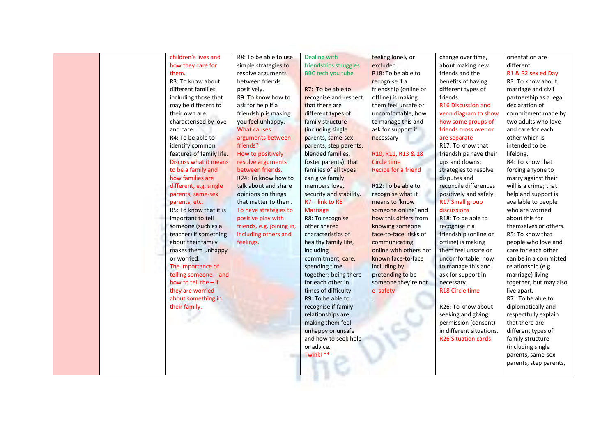| children's lives and     | R8: To be able to use     | Dealing with             | feeling lonely or               | change over time,          | orientation are        |
|--------------------------|---------------------------|--------------------------|---------------------------------|----------------------------|------------------------|
| how they care for        | simple strategies to      | friendships struggles    | excluded.                       | about making new           | different.             |
| them.                    | resolve arguments         | <b>BBC</b> tech you tube | R <sub>18</sub> : To be able to | friends and the            | R1 & R2 sex ed Day     |
| R3: To know about        | between friends           |                          | recognise if a                  | benefits of having         | R3: To know about      |
| different families       | positively.               | R7: To be able to        | friendship (online or           | different types of         | marriage and civil     |
| including those that     | R9: To know how to        | recognise and respect    | offline) is making              | friends.                   | partnership as a legal |
| may be different to      | ask for help if a         | that there are           | them feel unsafe or             | R16 Discussion and         | declaration of         |
| their own are            | friendship is making      | different types of       | uncomfortable, how              | venn diagram to show       | commitment made by     |
| characterised by love    | you feel unhappy.         | family structure         | to manage this and              | how some groups of         | two adults who love    |
| and care.                | <b>What causes</b>        | (including single        | ask for support if              | friends cross over or      | and care for each      |
| R4: To be able to        | arguments between         | parents, same-sex        | necessary                       | are separate               | other which is         |
| identify common          | friends?                  | parents, step parents,   |                                 | R17: To know that          | intended to be         |
| features of family life. | How to positively         | blended families,        | R10, R11, R13 & 18              | friendships have their     | lifelong.              |
| Discuss what it means    | resolve arguments         | foster parents); that    | <b>Circle time</b>              | ups and downs;             | R4: To know that       |
| to be a family and       | between friends.          | families of all types    | Recipe for a friend             | strategies to resolve      | forcing anyone to      |
| how families are         | R24: To know how to       | can give family          |                                 | disputes and               | marry against their    |
| different, e.g. single   | talk about and share      | members love,            | R12: To be able to              | reconcile differences      | will is a crime; that  |
| parents, same-sex        | opinions on things        | security and stability.  | recognise what it               | positively and safely.     | help and support is    |
| parents, etc.            | that matter to them.      | $R7$ – link to RE        | means to 'know                  | R17 Small group            | available to people    |
| R5: To know that it is   | To have strategies to     | <b>Marriage</b>          | someone online' and             | discussions                | who are worried        |
| important to tell        | positive play with        | R8: To recognise         | how this differs from           | R18: To be able to         | about this for         |
| someone (such as a       | friends, e.g. joining in, | other shared             | knowing someone                 | recognise if a             | themselves or others.  |
| teacher) if something    | including others and      | characteristics of       | face-to-face; risks of          | friendship (online or      | R5: To know that       |
| about their family       | feelings.                 | healthy family life,     | communicating                   | offline) is making         | people who love and    |
| makes them unhappy       |                           | including                | online with others not          | them feel unsafe or        | care for each other    |
| or worried.              |                           | commitment, care,        | known face-to-face              | uncomfortable; how         | can be in a committed  |
| The importance of        |                           | spending time            | including by                    | to manage this and         | relationship (e.g.     |
| telling someone - and    |                           | together; being there    | pretending to be                | ask for support in         | marriage) living       |
| how to tell the - if     |                           | for each other in        | someone they're not.            | necessary.                 | together, but may also |
| they are worried         |                           | times of difficulty.     | e-safety                        | R18 Circle time            | live apart.            |
| about something in       |                           | R9: To be able to        |                                 |                            | R7: To be able to      |
| their family.            |                           | recognise if family      |                                 | R26: To know about         | diplomatically and     |
|                          |                           | relationships are        |                                 | seeking and giving         | respectfully explain   |
|                          |                           | making them feel         |                                 | permission (consent)       | that there are         |
|                          |                           | unhappy or unsafe        |                                 | in different situations.   | different types of     |
|                          |                           | and how to seek help     |                                 | <b>R26 Situation cards</b> | family structure       |
|                          |                           | or advice.               |                                 |                            | (including single      |
|                          |                           | Twinkl **                |                                 |                            | parents, same-sex      |
|                          |                           |                          |                                 |                            | parents, step parents, |
|                          |                           |                          |                                 |                            |                        |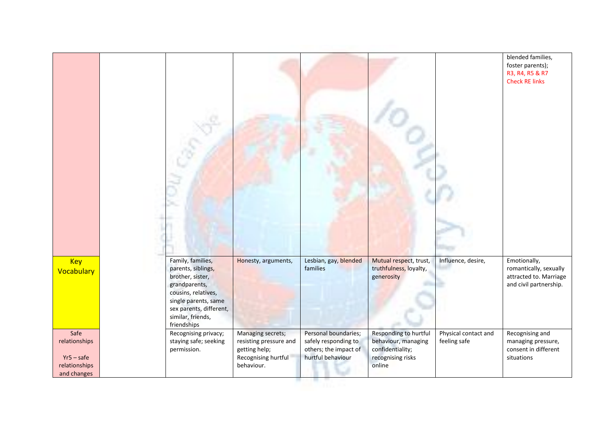|                               |                                                                                                                                                                                            |                                   |                                   |                                                                |                      | blended families,<br>foster parents);<br>R3, R4, R5 & R7<br><b>Check RE links</b>          |
|-------------------------------|--------------------------------------------------------------------------------------------------------------------------------------------------------------------------------------------|-----------------------------------|-----------------------------------|----------------------------------------------------------------|----------------------|--------------------------------------------------------------------------------------------|
| <b>Key</b><br>Vocabulary      | Family, families,<br>parents, siblings,<br>brother, sister,<br>grandparents,<br>cousins, relatives,<br>single parents, same<br>sex parents, different,<br>similar, friends,<br>friendships | Honesty, arguments,               | Lesbian, gay, blended<br>families | Mutual respect, trust,<br>truthfulness, loyalty,<br>generosity | Influence, desire,   | Emotionally,<br>romantically, sexually<br>attracted to. Marriage<br>and civil partnership. |
| Safe                          | Recognising privacy;                                                                                                                                                                       | Managing secrets;                 | Personal boundaries;              | Responding to hurtful                                          | Physical contact and | Recognising and                                                                            |
|                               | staying safe; seeking                                                                                                                                                                      | resisting pressure and            | safely responding to              | behaviour, managing                                            | feeling safe         | managing pressure,                                                                         |
| relationships                 |                                                                                                                                                                                            |                                   |                                   |                                                                |                      | consent in different                                                                       |
|                               | permission.                                                                                                                                                                                | getting help;                     | others; the impact of             | confidentiality;                                               |                      |                                                                                            |
| $Yr5 - safe$<br>relationships |                                                                                                                                                                                            | Recognising hurtful<br>behaviour. | hurtful behaviour                 | recognising risks<br>online                                    |                      | situations                                                                                 |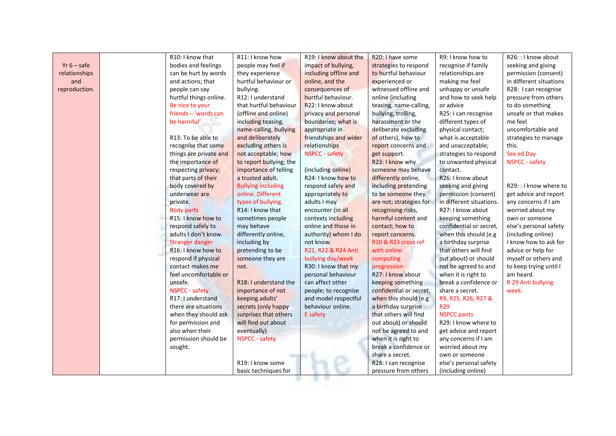|               |          | R10: I know that       | R11: I know how           | R19: I know about the | R20: I have some        | R9: I know how to              | R26: : I know about     |
|---------------|----------|------------------------|---------------------------|-----------------------|-------------------------|--------------------------------|-------------------------|
| $Yr 6 - safe$ |          | bodies and feelings    | people may feel if        | impact of bullying,   | strategies to respond   | recognise if family            | seeking and giving      |
| relationships |          | can be hurt by words   | they experience           | including offline and | to hurtful behaviour    | relationships are              | permission (consent)    |
| and           |          | and actions; that      | hurtful behaviour or      | online, and the       | experienced or          | making me feel                 | in different situations |
| reproduction. |          | people can say         | bullying.                 | consequences of       | witnessed offline and   | unhappy or unsafe              | R28: I can recognise    |
|               |          | hurtful things online. | R12: I understand         | hurtful behaviour.    | online (including       | and how to seek help           | pressure from others    |
|               |          | Be nice to your        | that hurtful behaviour    | R22: I know about     | teasing, name-calling,  | or advice                      | to do something         |
|               |          | friends - 'words can   | (offline and online)      | privacy and personal  | bullying, trolling,     | R25: I can recognise           | unsafe or that makes    |
|               |          | be harmful'            | including teasing,        | boundaries; what is   | harassment or the       | different types of             | me feel                 |
|               |          |                        | name-calling, bullying    | appropriate in        | deliberate excluding    | physical contact;              | uncomfortable and       |
|               |          | R13: To be able to     | and deliberately          | friendships and wider | of others), how to      | what is acceptable             | strategies to manage    |
|               |          | recognise that some    | excluding others is       | relationships         | report concerns and     | and unacceptable;              | this.                   |
|               |          | things are private and | not acceptable; how       | <b>NSPCC - safety</b> | get support.            | strategies to respond          | Sex ed Day              |
|               |          | the importance of      | to report bullying; the   |                       | R23: I know why         | to unwanted physical           | NSPCC - safety          |
|               |          | respecting privacy;    | importance of telling     | (including online)    | someone may behave      | contact.                       |                         |
|               |          | that parts of their    | a trusted adult.          | R24: I know how to    | differently online,     | R <sub>26</sub> : I know about |                         |
|               |          | body covered by        | <b>Bullying including</b> | respond safely and    | including pretending    | seeking and giving             | R29: : I know where to  |
|               |          | underwear are          | online. Different         | appropriately to      | to be someone they      | permission (consent)           | get advice and report   |
|               | private. |                        | types of bullying.        | adults I may          | are not; strategies for | in different situations.       | any concerns if I am    |
|               |          | <b>Body parts</b>      | R14: I know that          | encounter (in all     | recognising risks,      | R27: I know about              | worried about my        |
|               |          | R15: I know how to     | sometimes people          | contexts including    | harmful content and     | keeping something              | own or someone          |
|               |          | respond safely to      | may behave                | online and those in   | contact; how to         | confidential or secret,        | else's personal safety  |
|               |          | adults I don't know.   | differently online,       | authority) whom I do  | report concerns.        | when this should (e.g          | (including online)      |
|               |          | <b>Stranger danger</b> | including by              | not know.             | R20 & R23 cross ref     | a birthday surprise            | I know how to ask for   |
|               |          | R16: I know how to     | pretending to be          | R21, R22 & R24 Anti   | with online             | that others will find          | advice or help for      |
|               |          | respond if physical    | someone they are          | bullying day/week     | computing               | out about) or should           | myself or others and    |
|               |          | contact makes me       | not.                      | R30: I know that my   | progression             | not be agreed to and           | to keep trying until I  |
|               |          | feel uncomfortable or  |                           | personal behaviour    | R27: I know about       | when it is right to            | am heard.               |
|               | unsafe.  |                        | R18: I understand the     | can affect other      | keeping something       | break a confidence or          | R 29 Anti bullying      |
|               |          | <b>NSPCC</b> - safety  | importance of not         | people; to recognise  | confidential or secret, | share a secret.                | week.                   |
|               |          | R17: I understand      | keeping adults'           | and model respectful  | when this should (e.g   | R9, R25, R26, R27 &            |                         |
|               |          | there are situations   | secrets (only happy       | behaviour online.     | a birthday surprise     | <b>R29</b>                     |                         |
|               |          | when they should ask   | surprises that others     | E safety              | that others will find   | <b>NSPCC pants</b>             |                         |
|               |          | for permission and     | will find out about       |                       | out about) or should    | R29: I know where to           |                         |
|               |          | also when their        | eventually)               |                       | not be agreed to and    | get advice and report          |                         |
|               |          | permission should be   | <b>NSPCC - safety</b>     |                       | when it is right to     | any concerns if I am           |                         |
|               | sought.  |                        |                           |                       | break a confidence or   | worried about my               |                         |
|               |          |                        |                           |                       | share a secret.         | own or someone                 |                         |
|               |          |                        | R19: I know some          |                       | R28: I can recognise    | else's personal safety         |                         |
|               |          |                        | basic techniques for      |                       | pressure from others    | (including online)             |                         |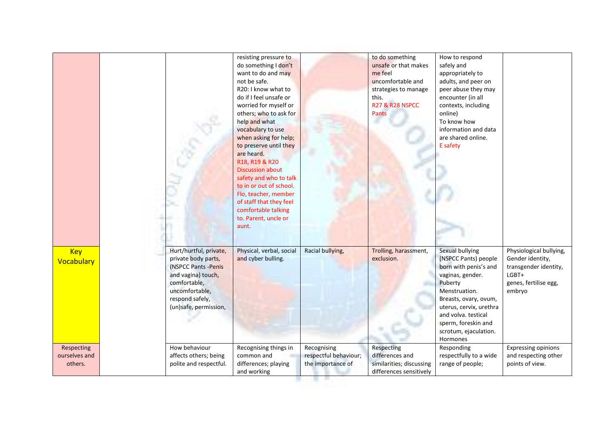|                                        |                                                                                                                                                                           | resisting pressure to<br>do something I don't<br>want to do and may<br>not be safe.<br>R20: I know what to<br>do if I feel unsafe or<br>worried for myself or<br>others; who to ask for<br>help and what<br>vocabulary to use<br>when asking for help;<br>to preserve until they<br>are heard.<br>R18, R19 & R20<br><b>Discussion about</b><br>safety and who to talk<br>to in or out of school.<br>Flo, teacher, member<br>of staff that they feel<br>comfortable talking<br>to. Parent, uncle or<br>aunt. |                                                           | to do something<br>unsafe or that makes<br>me feel<br>uncomfortable and<br>strategies to manage<br>this.<br><b>R27 &amp; R28 NSPCC</b><br><b>Pants</b> | How to respond<br>safely and<br>appropriately to<br>adults, and peer on<br>peer abuse they may<br>encounter (in all<br>contexts, including<br>online)<br>To know how<br>information and data<br>are shared online.<br>E safety                          |                                                                                                                  |
|----------------------------------------|---------------------------------------------------------------------------------------------------------------------------------------------------------------------------|-------------------------------------------------------------------------------------------------------------------------------------------------------------------------------------------------------------------------------------------------------------------------------------------------------------------------------------------------------------------------------------------------------------------------------------------------------------------------------------------------------------|-----------------------------------------------------------|--------------------------------------------------------------------------------------------------------------------------------------------------------|---------------------------------------------------------------------------------------------------------------------------------------------------------------------------------------------------------------------------------------------------------|------------------------------------------------------------------------------------------------------------------|
| <b>Key</b><br>Vocabulary               | Hurt/hurtful, private,<br>private body parts,<br>(NSPCC Pants - Penis<br>and vagina) touch,<br>comfortable,<br>uncomfortable,<br>respond safely,<br>(un)safe, permission, | Physical, verbal, social<br>and cyber bulling.                                                                                                                                                                                                                                                                                                                                                                                                                                                              | Racial bullying,                                          | Trolling, harassment,<br>exclusion.                                                                                                                    | Sexual bullying<br>(NSPCC Pants) people<br>born with penis's and<br>vaginas, gender.<br>Puberty<br>Menstruation.<br>Breasts, ovary, ovum,<br>uterus, cervix, urethra<br>and volva. testical<br>sperm, foreskin and<br>scrotum, ejaculation.<br>Hormones | Physiological bullying,<br>Gender identity,<br>transgender identity,<br>LGBT+<br>genes, fertilise egg,<br>embryo |
| Respecting<br>ourselves and<br>others. | How behaviour<br>affects others; being<br>polite and respectful.                                                                                                          | Recognising things in<br>common and<br>differences; playing<br>and working                                                                                                                                                                                                                                                                                                                                                                                                                                  | Recognising<br>respectful behaviour;<br>the importance of | Respecting<br>differences and<br>similarities; discussing<br>differences sensitively                                                                   | Responding<br>respectfully to a wide<br>range of people;                                                                                                                                                                                                | <b>Expressing opinions</b><br>and respecting other<br>points of view.                                            |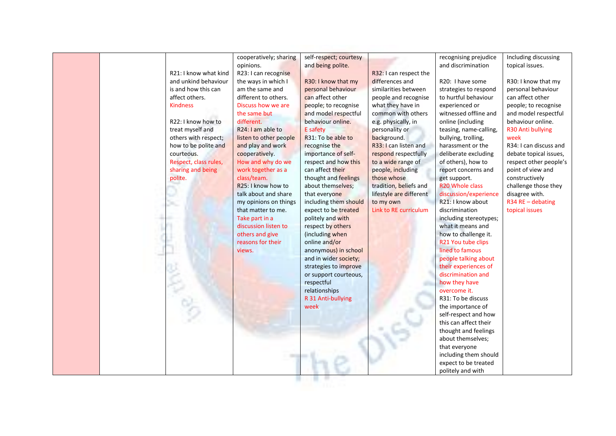|                       | cooperatively; sharing          | self-respect; courtesy |                         | recognising prejudice       | Including discussing   |
|-----------------------|---------------------------------|------------------------|-------------------------|-----------------------------|------------------------|
|                       | opinions.                       | and being polite.      |                         | and discrimination          | topical issues.        |
| R21: I know what kind | R23: I can recognise            |                        | R32: I can respect the  |                             |                        |
| and unkind behaviour  | the ways in which I             | R30: I know that my    | differences and         | R20: I have some            | R30: I know that my    |
| is and how this can   | am the same and                 | personal behaviour     | similarities between    | strategies to respond       | personal behaviour     |
| affect others.        | different to others.            | can affect other       | people and recognise    | to hurtful behaviour        | can affect other       |
| <b>Kindness</b>       | Discuss how we are              | people; to recognise   | what they have in       | experienced or              | people; to recognise   |
|                       | the same but                    | and model respectful   | common with others      | witnessed offline and       | and model respectful   |
| R22: I know how to    | different.                      | behaviour online.      | e.g. physically, in     | online (including           | behaviour online.      |
| treat myself and      | R <sub>24</sub> : I am able to  | E safety               | personality or          | teasing, name-calling,      | R30 Anti bullying      |
| others with respect;  | listen to other people          | R31: To be able to     | background.             | bullying, trolling,         | week                   |
| how to be polite and  | and play and work               | recognise the          | R33: I can listen and   | harassment or the           | R34: I can discuss and |
| courteous.            | cooperatively.                  | importance of self-    | respond respectfully    | deliberate excluding        | debate topical issues, |
| Respect, class rules, | How and why do we               | respect and how this   | to a wide range of      | of others), how to          | respect other people's |
| sharing and being     | work together as a              | can affect their       | people, including       | report concerns and         | point of view and      |
| polite.               | class/team.                     | thought and feelings   | those whose             | get support.                | constructively         |
|                       | R <sub>25</sub> : I know how to | about themselves;      | tradition, beliefs and  | R <sub>20</sub> Whole class | challenge those they   |
|                       | talk about and share            | that everyone          | lifestyle are different | discussion/experience       | disagree with.         |
|                       | my opinions on things           | including them should  | to my own               | R21: I know about           | $R34$ RE - debating    |
|                       | that matter to me.              | expect to be treated   | Link to RE curriculum   | discrimination              | topical issues         |
|                       | Take part in a                  | politely and with      |                         | including stereotypes;      |                        |
|                       | discussion listen to            | respect by others      |                         | what it means and           |                        |
|                       | others and give                 | (including when        |                         | how to challenge it.        |                        |
|                       | reasons for their               | online and/or          |                         | R21 You tube clips          |                        |
|                       | views.                          | anonymous) in school   |                         | lined to famous             |                        |
|                       |                                 | and in wider society;  |                         | people talking about        |                        |
|                       |                                 | strategies to improve  |                         | their experiences of        |                        |
|                       |                                 | or support courteous,  |                         | discrimination and          |                        |
|                       |                                 | respectful             |                         | how they have               |                        |
|                       |                                 | relationships          |                         | overcome it.                |                        |
|                       |                                 | R 31 Anti-bullying     |                         | R31: To be discuss          |                        |
|                       |                                 | week                   |                         | the importance of           |                        |
|                       |                                 |                        |                         | self-respect and how        |                        |
|                       |                                 |                        |                         | this can affect their       |                        |
|                       |                                 |                        |                         | thought and feelings        |                        |
|                       |                                 |                        |                         | about themselves;           |                        |
|                       |                                 |                        |                         | that everyone               |                        |
|                       |                                 |                        |                         | including them should       |                        |
|                       |                                 |                        |                         | expect to be treated        |                        |
|                       |                                 |                        |                         | politely and with           |                        |
|                       |                                 |                        |                         |                             |                        |
|                       |                                 |                        |                         |                             |                        |